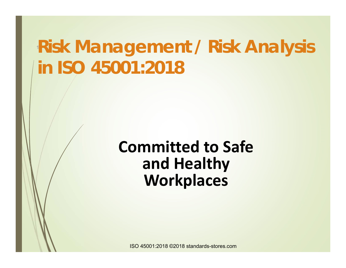# **<sup>1</sup>Risk Management / Risk Analysis in ISO 45001:2018**

## **Committed to Safe and Healthy Workplaces**

ISO 45001:2018 ©2018 standards-stores.com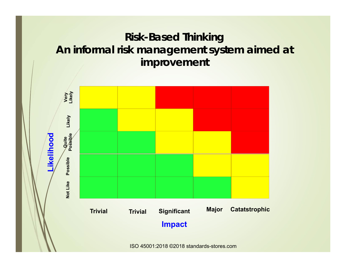#### **Risk-Based Thinking An informal risk management system aimed at improvement**

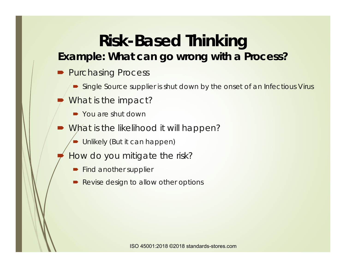### **Risk-Based Thinking Example: What can go wrong with a Process?**

- Purchasing Process
	- **Single Source supplier is shut down by the onset of an Infectious Virus**
- $\blacksquare$  What is the impact?
	- You are shut down
- What is the likelihood it will happen?
	- **Unlikely (But it can happen)**
- $\blacksquare$  How do you mitigate the risk?
	- **Find another supplier**
	- D Revise design to allow other options